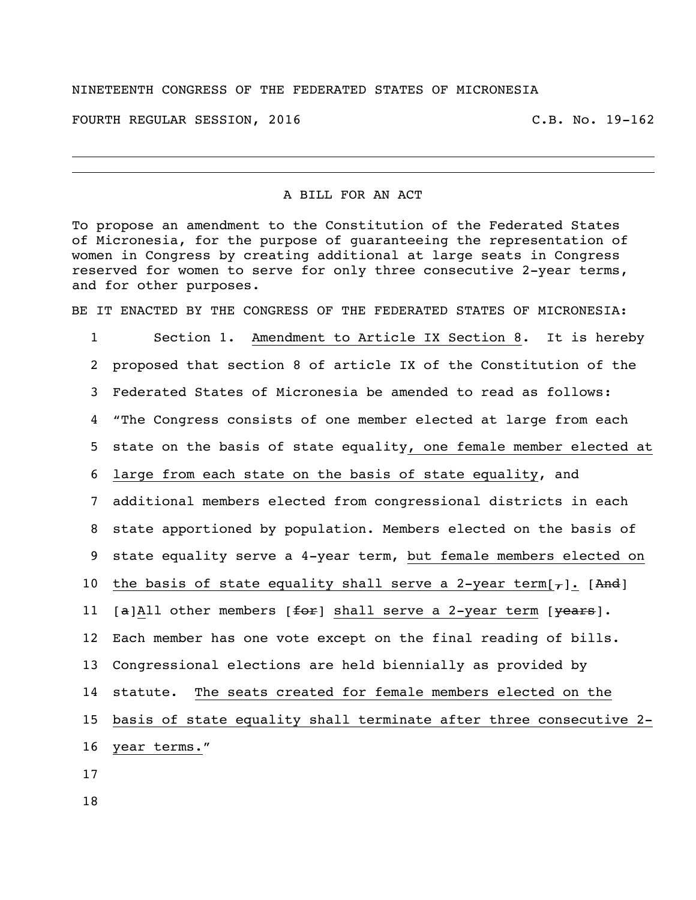## NINETEENTH CONGRESS OF THE FEDERATED STATES OF MICRONESIA

FOURTH REGULAR SESSION, 2016 C.B. No. 19-162

## A BILL FOR AN ACT

To propose an amendment to the Constitution of the Federated States of Micronesia, for the purpose of guaranteeing the representation of women in Congress by creating additional at large seats in Congress reserved for women to serve for only three consecutive 2-year terms, and for other purposes.

BE IT ENACTED BY THE CONGRESS OF THE FEDERATED STATES OF MICRONESIA:

 Section 1. Amendment to Article IX Section 8. It is hereby proposed that section 8 of article IX of the Constitution of the Federated States of Micronesia be amended to read as follows: "The Congress consists of one member elected at large from each state on the basis of state equality, one female member elected at large from each state on the basis of state equality, and additional members elected from congressional districts in each state apportioned by population. Members elected on the basis of state equality serve a 4-year term, but female members elected on 10 the basis of state equality shall serve a 2-year term[ $_{7}$ ]. [And] 11 [a]All other members  $f$  [for] shall serve a 2-year term  $[years]$ . Each member has one vote except on the final reading of bills. Congressional elections are held biennially as provided by statute. The seats created for female members elected on the basis of state equality shall terminate after three consecutive 2- year terms." 17

18